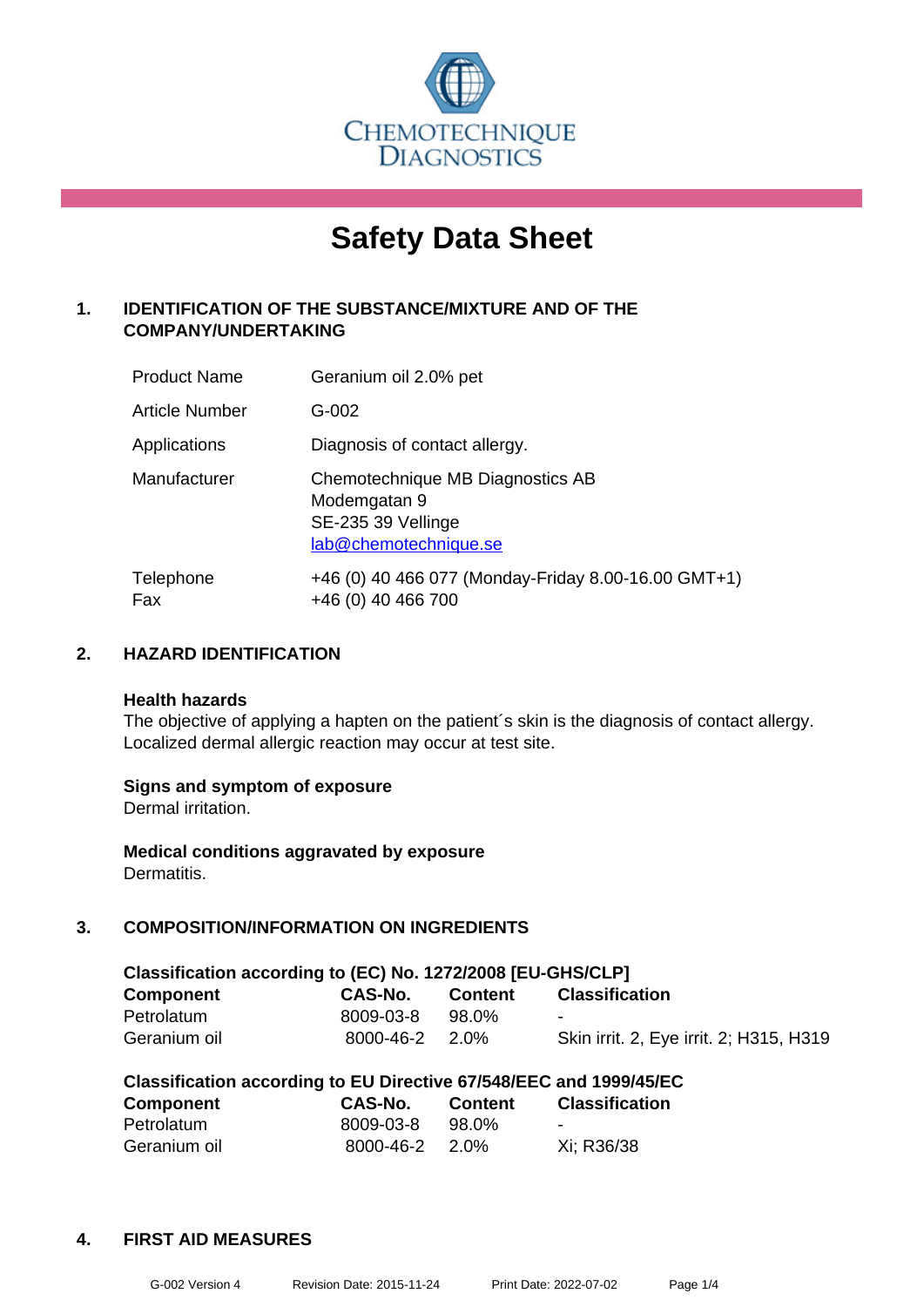

# **Safety Data Sheet**

# **1. IDENTIFICATION OF THE SUBSTANCE/MIXTURE AND OF THE COMPANY/UNDERTAKING**

| <b>Product Name</b>   | Geranium oil 2.0% pet                                                                           |
|-----------------------|-------------------------------------------------------------------------------------------------|
| <b>Article Number</b> | G-002                                                                                           |
| Applications          | Diagnosis of contact allergy.                                                                   |
| Manufacturer          | Chemotechnique MB Diagnostics AB<br>Modemgatan 9<br>SE-235 39 Vellinge<br>lab@chemotechnique.se |
| Telephone<br>Fax      | +46 (0) 40 466 077 (Monday-Friday 8.00-16.00 GMT+1)<br>+46 (0) 40 466 700                       |

## **2. HAZARD IDENTIFICATION**

#### **Health hazards**

The objective of applying a hapten on the patient's skin is the diagnosis of contact allergy. Localized dermal allergic reaction may occur at test site.

## **Signs and symptom of exposure**

Dermal irritation.

**Medical conditions aggravated by exposure** Dermatitis.

## **3. COMPOSITION/INFORMATION ON INGREDIENTS**

| Classification according to (EC) No. 1272/2008 [EU-GHS/CLP] |                      |                |                                         |  |  |  |
|-------------------------------------------------------------|----------------------|----------------|-----------------------------------------|--|--|--|
| Component                                                   | CAS-No.              | <b>Content</b> | <b>Classification</b>                   |  |  |  |
| Petrolatum                                                  | 8009-03-8            | 98.0%          | $\blacksquare$                          |  |  |  |
| Geranium oil                                                | $8000 - 46 - 2$ 2.0% |                | Skin irrit. 2, Eye irrit. 2; H315, H319 |  |  |  |

| Classification according to EU Directive 67/548/EEC and 1999/45/EC |           |                |                          |  |  |  |
|--------------------------------------------------------------------|-----------|----------------|--------------------------|--|--|--|
| <b>Component</b>                                                   | CAS-No.   | <b>Content</b> | <b>Classification</b>    |  |  |  |
| Petrolatum                                                         | 8009-03-8 | 98.0%          | $\overline{\phantom{0}}$ |  |  |  |
| Geranium oil                                                       | 8000-46-2 | 2.0%           | Xi: R36/38               |  |  |  |

## **4. FIRST AID MEASURES**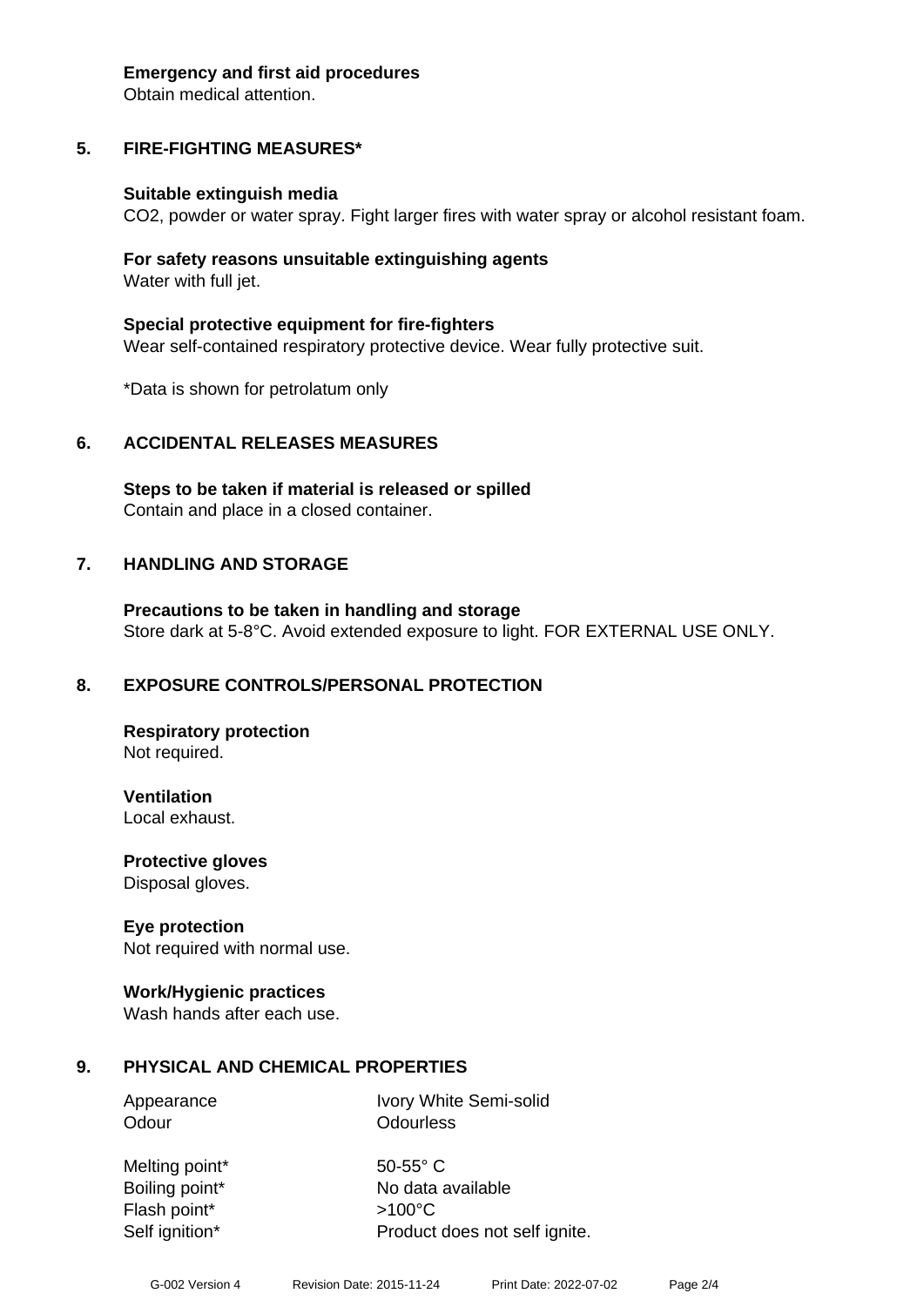#### **Emergency and first aid procedures**

Obtain medical attention.

## **5. FIRE-FIGHTING MEASURES\***

#### **Suitable extinguish media**

CO2, powder or water spray. Fight larger fires with water spray or alcohol resistant foam.

#### **For safety reasons unsuitable extinguishing agents** Water with full jet.

**Special protective equipment for fire-fighters** Wear self-contained respiratory protective device. Wear fully protective suit.

\*Data is shown for petrolatum only

## **6. ACCIDENTAL RELEASES MEASURES**

**Steps to be taken if material is released or spilled** Contain and place in a closed container.

## **7. HANDLING AND STORAGE**

**Precautions to be taken in handling and storage** Store dark at 5-8°C. Avoid extended exposure to light. FOR EXTERNAL USE ONLY.

## **8. EXPOSURE CONTROLS/PERSONAL PROTECTION**

**Respiratory protection** Not required.

**Ventilation** Local exhaust.

**Protective gloves** Disposal gloves.

## **Eye protection**

Not required with normal use.

## **Work/Hygienic practices**

Wash hands after each use.

## **9. PHYSICAL AND CHEMICAL PROPERTIES**

Appearance Ivory White Semi-solid Odour **Odourless** 

Melting point\* 50-55° C Flash point\* >100°C

Boiling point\* No data available Self ignition\* Product does not self ignite.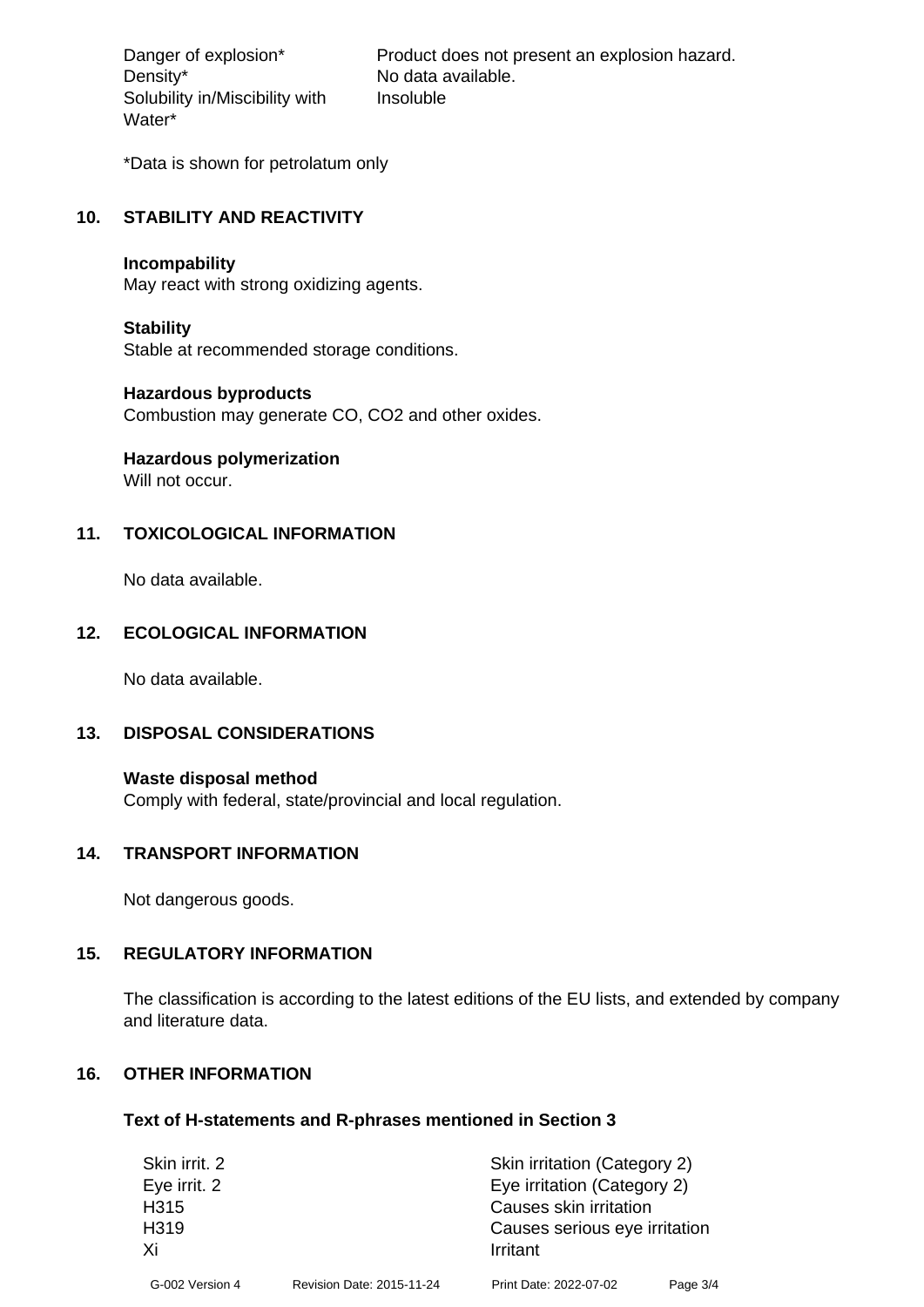Density\* No data available. Solubility in/Miscibility with Water\*

Danger of explosion\* Product does not present an explosion hazard. Insoluble

\*Data is shown for petrolatum only

#### **10. STABILITY AND REACTIVITY**

#### **Incompability**

May react with strong oxidizing agents.

#### **Stability**

Stable at recommended storage conditions.

#### **Hazardous byproducts**

Combustion may generate CO, CO2 and other oxides.

# **Hazardous polymerization**

Will not occur.

## **11. TOXICOLOGICAL INFORMATION**

No data available.

## **12. ECOLOGICAL INFORMATION**

No data available.

## **13. DISPOSAL CONSIDERATIONS**

**Waste disposal method** Comply with federal, state/provincial and local regulation.

#### **14. TRANSPORT INFORMATION**

Not dangerous goods.

## **15. REGULATORY INFORMATION**

The classification is according to the latest editions of the EU lists, and extended by company and literature data.

## **16. OTHER INFORMATION**

#### **Text of H-statements and R-phrases mentioned in Section 3**

| Skin irrit. 2     |                           | Skin irritation (Category 2)  |          |  |
|-------------------|---------------------------|-------------------------------|----------|--|
| Eye irrit. 2      |                           | Eye irritation (Category 2)   |          |  |
| H <sub>3</sub> 15 |                           | Causes skin irritation        |          |  |
| H319              |                           | Causes serious eye irritation |          |  |
| Xi                |                           | Irritant                      |          |  |
| G-002 Version 4   | Revision Date: 2015-11-24 | Print Date: 2022-07-02        | Page 3/4 |  |